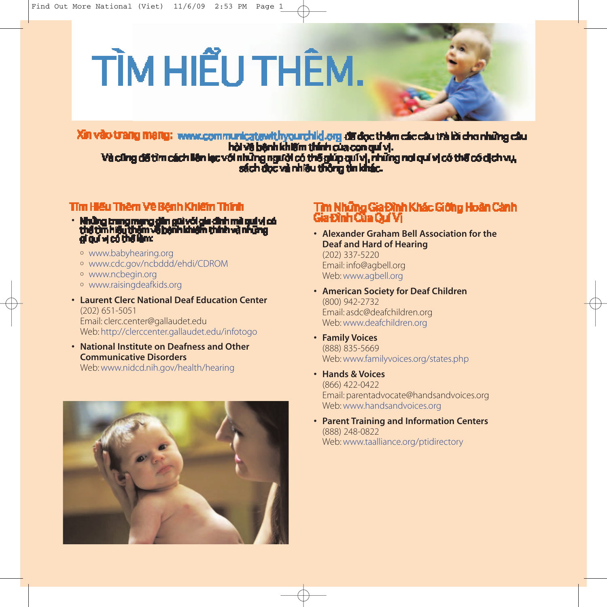# TÌM HIỂU THÊM.

Xin vào trang mang: www.communicatewithyourchild.org difidoc thêm các câu trà lời cho những câu hải và bệnh khiếm thính của con quí vị. Và cũng đã tìm cách lên lạc với những người có thể giúp quí vị, những nơi quí vị có thể có dịch vụ,<br>sách đọc và nhiều thống tin khác.

### Tîm Hiểu Thêm Về Bênh Khiếm Thính

- Những trung mạng dân gũi với gia đình mà quả vị có<br>thể tìm hiểu thêm về bệnh khiểm thính và những<br>gi quí vị có thể làm:
	- <sup>o</sup> www.babyhearing.org
	- <sup>o</sup> www.cdc.gov/ncbddd/ehdi/CDROM
	- <sup>o</sup> www.ncbegin.org
	- <sup>o</sup> www.raisingdeafkids.org
- **Laurent Clerc National Deaf Education Center** (202) 651-5051 Email: clerc.center@gallaudet.edu Web: http://clerccenter.gallaudet.edu/infotogo
- **National Institute on Deafness and Other Communicative Disorders** Web: www.nidcd.nih.gov/health/hearing



### Tìm Những Gia Đình Khác Giớng Hoàn Cành Gia Dình Của Quí Vi

**• Alexander Graham Bell Association for the Deaf and Hard of Hearing**

(202) 337-5220 Email: info@agbell.org Web: www.agbell.org

- **American Society for Deaf Children** (800) 942-2732 Email: asdc@deafchildren.org Web: www.deafchildren.org
- **Family Voices** (888) 835-5669 Web: www.familyvoices.org/states.php
- **• Hands & Voices** (866) 422-0422 Email: parentadvocate@handsandvoices.org Web: www.handsandvoices.org
- **• Parent Training and Information Centers** (888) 248-0822 Web: www.taalliance.org/ptidirectory